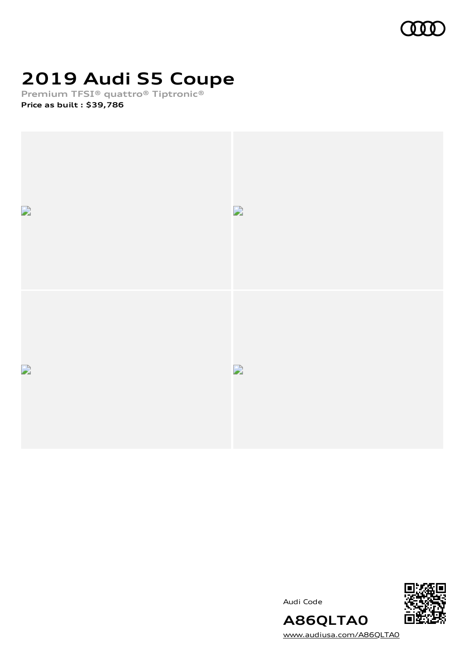

## **2019 Audi S5 Coupe**

**Premium TFSI® quattro® Tiptronic®**

**Price as built [:](#page-10-0) \$39,786**



Audi Code



**A86QLTA0** [www.audiusa.com/A86QLTA0](https://www.audiusa.com/A86QLTA0)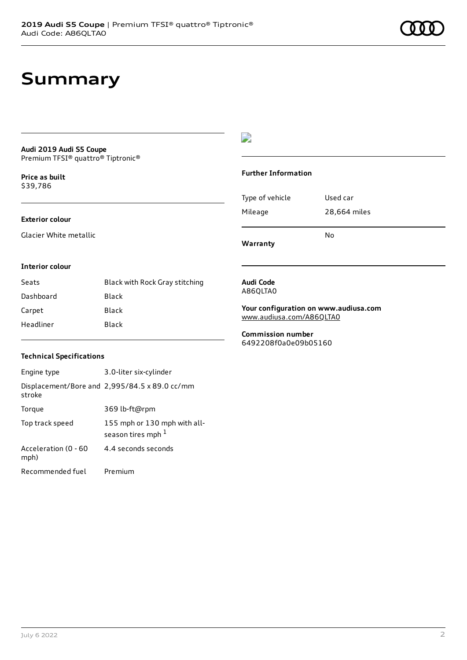## **Summary**

#### **Audi 2019 Audi S5 Coupe** Premium TFSI® quattro® Tiptronic®

**Price as buil[t](#page-10-0)** \$39,786

### **Exterior colour**

Glacier White metallic

### $\overline{\phantom{a}}$

### **Further Information**

|                 | N٥           |
|-----------------|--------------|
| Mileage         | 28,664 miles |
| Type of vehicle | Used car     |

**Warranty**

#### **Interior colour**

| Seats     | Black with Rock Gray stitching |
|-----------|--------------------------------|
| Dashboard | Black                          |
| Carpet    | Black                          |
| Headliner | Black                          |

#### **Audi Code** A86QLTA0

**Your configuration on www.audiusa.com** [www.audiusa.com/A86QLTA0](https://www.audiusa.com/A86QLTA0)

**Commission number** 6492208f0a0e09b05160

### **Technical Specifications**

| Engine type                  | 3.0-liter six-cylinder                                       |
|------------------------------|--------------------------------------------------------------|
| stroke                       | Displacement/Bore and $2,995/84.5 \times 89.0 \text{ cc/mm}$ |
| Torque                       | 369 lb-ft@rpm                                                |
| Top track speed              | 155 mph or 130 mph with all-<br>season tires mph 1           |
| Acceleration (0 - 60<br>mph) | 4.4 seconds seconds                                          |
| Recommended fuel             | Premium                                                      |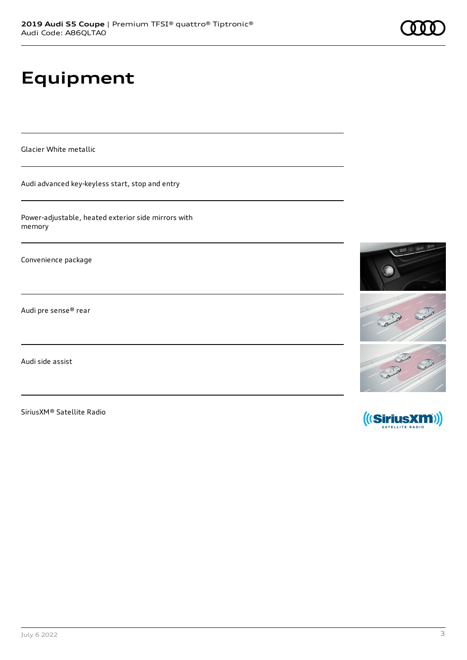# **Equipment**

Glacier White metallic

Audi advanced key-keyless start, stop and entry

Power-adjustable, heated exterior side mirrors with memory

Convenience package

Audi pre sense® rear

Audi side assist

SiriusXM® Satellite Radio



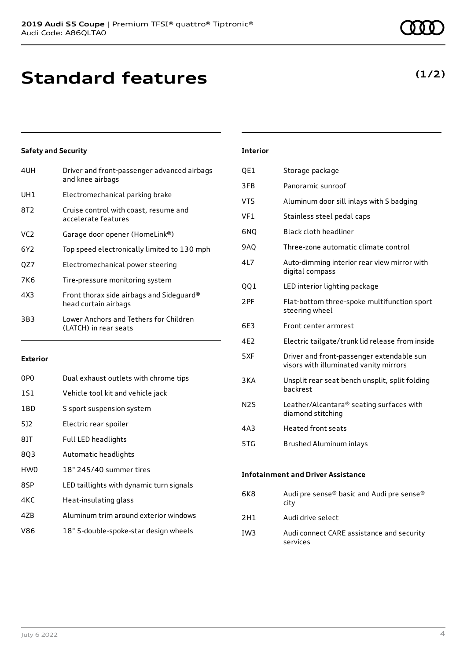| 4UH | Driver and front-passenger advanced airbags<br>and knee airbags  |
|-----|------------------------------------------------------------------|
| UH1 | Electromechanical parking brake                                  |
| 8T2 | Cruise control with coast, resume and<br>accelerate features     |
| VC2 | Garage door opener (HomeLink®)                                   |
| 6Y2 | Top speed electronically limited to 130 mph                      |
| OZ7 | Electromechanical power steering                                 |
| 7K6 | Tire-pressure monitoring system                                  |
| 4X3 | Front thorax side airbags and Sideguard®<br>head curtain airbags |
| 3B3 | Lower Anchors and Tethers for Children<br>(LATCH) in rear seats  |
|     |                                                                  |

### **Exterior**

| 0PO             | Dual exhaust outlets with chrome tips    |
|-----------------|------------------------------------------|
| 1S1             | Vehicle tool kit and vehicle jack        |
| 1BD             | S sport suspension system                |
| 5]2             | Electric rear spoiler                    |
| 8IT             | Full LED headlights                      |
| 8Q3             | Automatic headlights                     |
| HW <sub>0</sub> | 18" 245/40 summer tires                  |
| 8SP             | LED taillights with dynamic turn signals |
| 4KC             | Heat-insulating glass                    |
| 4ZB             | Aluminum trim around exterior windows    |
| V86             | 18" 5-double-spoke-star design wheels    |

#### July 6 2022 4

| <b>Interior</b>  |                                                                                     |
|------------------|-------------------------------------------------------------------------------------|
| QE1              | Storage package                                                                     |
| 3FB              | Panoramic sunroof                                                                   |
| VT5              | Aluminum door sill inlays with S badging                                            |
| VF1              | Stainless steel pedal caps                                                          |
| 6NO              | Black cloth headliner                                                               |
| 9AQ              | Three-zone automatic climate control                                                |
| 4L7              | Auto-dimming interior rear view mirror with<br>digital compass                      |
| 001              | LED interior lighting package                                                       |
| 2PF              | Flat-bottom three-spoke multifunction sport<br>steering wheel                       |
| 6F3              | Front center armrest                                                                |
| 4F <sub>2</sub>  | Electric tailgate/trunk lid release from inside                                     |
| 5XF              | Driver and front-passenger extendable sun<br>visors with illuminated vanity mirrors |
| 3KA              | Unsplit rear seat bench unsplit, split folding<br>backrest                          |
| N <sub>2</sub> S | Leather/Alcantara® seating surfaces with<br>diamond stitching                       |
|                  |                                                                                     |

| 5TG | Brushed Aluminum inlays |  |
|-----|-------------------------|--|

4A3 Heated front seats

#### **Infotainment and Driver Assistance**

| 6K8 | Audi pre sense® basic and Audi pre sense®<br>city     |
|-----|-------------------------------------------------------|
| 2H1 | Audi drive select                                     |
| IW3 | Audi connect CARE assistance and security<br>services |

### **(1/2)**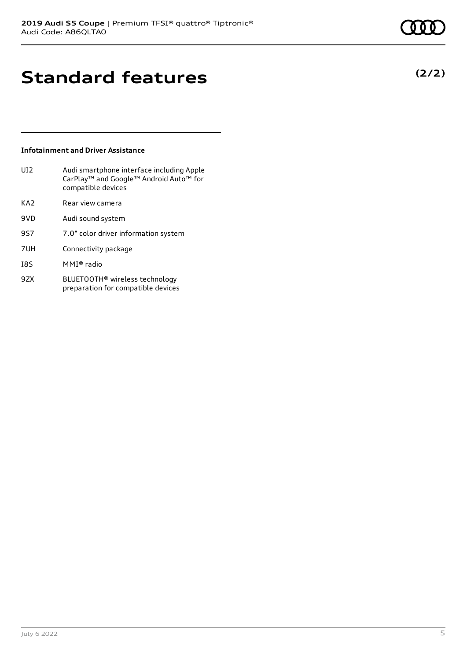**(2/2)**

### **Standard features**

### **Infotainment and Driver Assistance**

| UI <sub>2</sub> | Audi smartphone interface including Apple<br>CarPlay <sup>™</sup> and Google™ Android Auto <sup>™</sup> for<br>compatible devices |
|-----------------|-----------------------------------------------------------------------------------------------------------------------------------|
| KA2             | Rear view camera                                                                                                                  |
| 9VD             | Audi sound system                                                                                                                 |

- 9S7 7.0" color driver information system
- 7UH Connectivity package
- I8S MMI® radio
- 9ZX BLUETOOTH® wireless technology preparation for compatible devices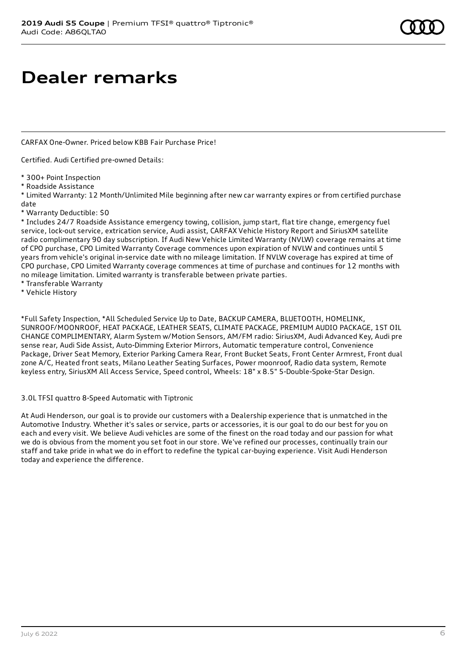### **Dealer remarks**

CARFAX One-Owner. Priced below KBB Fair Purchase Price!

Certified. Audi Certified pre-owned Details:

- \* 300+ Point Inspection
- \* Roadside Assistance

\* Limited Warranty: 12 Month/Unlimited Mile beginning after new car warranty expires or from certified purchase date

\* Warranty Deductible: \$0

\* Includes 24/7 Roadside Assistance emergency towing, collision, jump start, flat tire change, emergency fuel service, lock-out service, extrication service, Audi assist, CARFAX Vehicle History Report and SiriusXM satellite radio complimentary 90 day subscription. If Audi New Vehicle Limited Warranty (NVLW) coverage remains at time of CPO purchase, CPO Limited Warranty Coverage commences upon expiration of NVLW and continues until 5 years from vehicle's original in-service date with no mileage limitation. If NVLW coverage has expired at time of CPO purchase, CPO Limited Warranty coverage commences at time of purchase and continues for 12 months with no mileage limitation. Limited warranty is transferable between private parties.

- \* Transferable Warranty
- \* Vehicle History

\*Full Safety Inspection, \*All Scheduled Service Up to Date, BACKUP CAMERA, BLUETOOTH, HOMELINK, SUNROOF/MOONROOF, HEAT PACKAGE, LEATHER SEATS, CLIMATE PACKAGE, PREMIUM AUDIO PACKAGE, 1ST OIL CHANGE COMPLIMENTARY, Alarm System w/Motion Sensors, AM/FM radio: SiriusXM, Audi Advanced Key, Audi pre sense rear, Audi Side Assist, Auto-Dimming Exterior Mirrors, Automatic temperature control, Convenience Package, Driver Seat Memory, Exterior Parking Camera Rear, Front Bucket Seats, Front Center Armrest, Front dual zone A/C, Heated front seats, Milano Leather Seating Surfaces, Power moonroof, Radio data system, Remote keyless entry, SiriusXM All Access Service, Speed control, Wheels: 18" x 8.5" 5-Double-Spoke-Star Design.

### 3.0L TFSI quattro 8-Speed Automatic with Tiptronic

At Audi Henderson, our goal is to provide our customers with a Dealership experience that is unmatched in the Automotive Industry. Whether it's sales or service, parts or accessories, it is our goal to do our best for you on each and every visit. We believe Audi vehicles are some of the finest on the road today and our passion for what we do is obvious from the moment you set foot in our store. We've refined our processes, continually train our staff and take pride in what we do in effort to redefine the typical car-buying experience. Visit Audi Henderson today and experience the difference.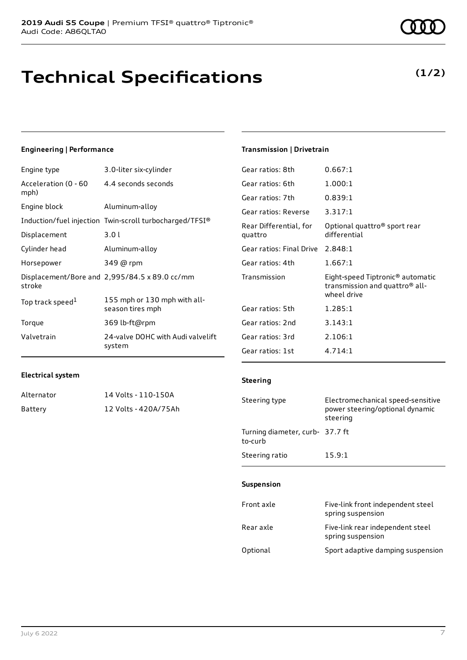## **Technical Specifications**

### **Engineering | Performance**

| Engine type                  | 3.0-liter six-cylinder                                  |
|------------------------------|---------------------------------------------------------|
| Acceleration (0 - 60<br>mph) | 4.4 seconds seconds                                     |
| Engine block                 | Aluminum-alloy                                          |
|                              | Induction/fuel injection Twin-scroll turbocharged/TFSI® |
| Displacement                 | 3.01                                                    |
| Cylinder head                | Aluminum-alloy                                          |
| Horsepower                   | 349 @ rpm                                               |
| stroke                       | Displacement/Bore and 2,995/84.5 x 89.0 cc/mm           |
| Top track speed <sup>1</sup> | 155 mph or 130 mph with all-<br>season tires mph        |
| Torque                       | 369 lb-ft@rpm                                           |
| Valvetrain                   | 24-valve DOHC with Audi valvelift<br>system             |

### **Transmission | Drivetrain**

**Steering**

| Gear ratios: 8th                  | 0.667:1                                                                                                   |
|-----------------------------------|-----------------------------------------------------------------------------------------------------------|
| Gear ratios: 6th                  | 1.000:1                                                                                                   |
| Gear ratios: 7th                  | 0.839:1                                                                                                   |
| Gear ratios: Reverse              | 3.317:1                                                                                                   |
| Rear Differential, for<br>quattro | Optional quattro® sport rear<br>differential                                                              |
| Gear ratios: Final Drive          | 2.848:1                                                                                                   |
| Gear ratios: 4th                  | 1.667:1                                                                                                   |
| Transmission                      | Eight-speed Tiptronic <sup>®</sup> automatic<br>transmission and quattro <sup>®</sup> all-<br>wheel drive |
| Gear ratios: 5th                  | 1.285:1                                                                                                   |
| Gear ratios: 2nd                  | 3.143:1                                                                                                   |
| Gear ratios: 3rd                  | 2.106:1                                                                                                   |
| Gear ratios: 1st                  | 4.714:1                                                                                                   |

### **Electrical system**

| Alternator | 14 Volts - 110-150A  |
|------------|----------------------|
| Battery    | 12 Volts - 420A/75Ah |

| Steering type                              | Electromechanical speed-sensitive<br>power steering/optional dynamic<br>steering |
|--------------------------------------------|----------------------------------------------------------------------------------|
| Turning diameter, curb- 37.7 ft<br>to-curb |                                                                                  |
| Steering ratio                             | 15.9:1                                                                           |
| <b>Suspension</b>                          |                                                                                  |

| Front axle | Five-link front independent steel<br>spring suspension |
|------------|--------------------------------------------------------|
| Rear axle  | Five-link rear independent steel<br>spring suspension  |
| Optional   | Sport adaptive damping suspension                      |

### **(1/2)**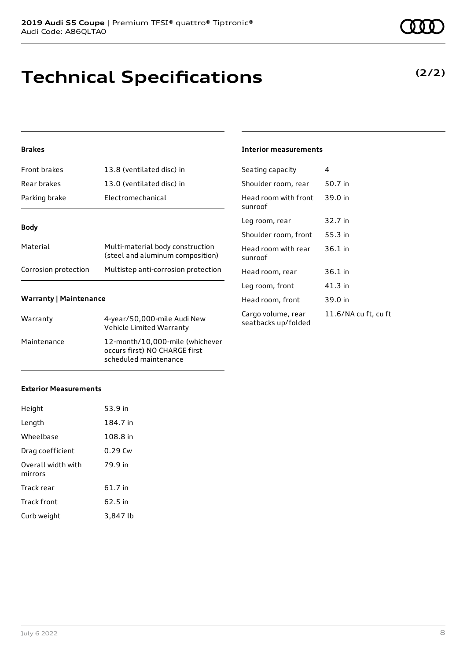| <b>Front brakes</b>  | 13.8 (ventilated disc) in                                            |
|----------------------|----------------------------------------------------------------------|
| Rear brakes          | 13.0 (ventilated disc) in                                            |
| Parking brake        | <b>Electromechanical</b>                                             |
|                      |                                                                      |
| <b>Body</b>          |                                                                      |
| Material             | Multi-material body construction<br>(steel and aluminum composition) |
| Corrosion protection | Multistep anti-corrosion protection                                  |
|                      |                                                                      |

### **Warranty | Maintenance**

| Warranty    | 4-year/50,000-mile Audi New<br>Vehicle Limited Warranty                                   |
|-------------|-------------------------------------------------------------------------------------------|
| Maintenance | 12-month/10,000-mile (whichever<br>occurs first) NO CHARGE first<br>scheduled maintenance |

### **Exterior Measurements**

| Height                        | 53.9 in  |
|-------------------------------|----------|
| Length                        | 184.7 in |
| Wheelbase                     | 108.8 in |
| Drag coefficient              | 0.29 Cw  |
| Overall width with<br>mirrors | 79.9 in  |
| Track rear                    | 61.7 in  |
| <b>Track front</b>            | 62.5 in  |
| Curb weight                   | 3.847 lb |

**Technical Specifications**

### **Interior measurements**

| Seating capacity                          | 4                    |
|-------------------------------------------|----------------------|
| Shoulder room, rear                       | 50.7 in              |
| Head room with front<br>sunroof           | 39.0 in              |
| Leg room, rear                            | 32.7 in              |
| Shoulder room, front                      | 55.3 in              |
| Head room with rear<br>sunroof            | $36.1$ in            |
| Head room, rear                           | 36.1 in              |
| Leg room, front                           | 41.3 in              |
| Head room, front                          | 39.0 in              |
| Cargo volume, rear<br>seatbacks up/folded | 11.6/NA cu ft, cu ft |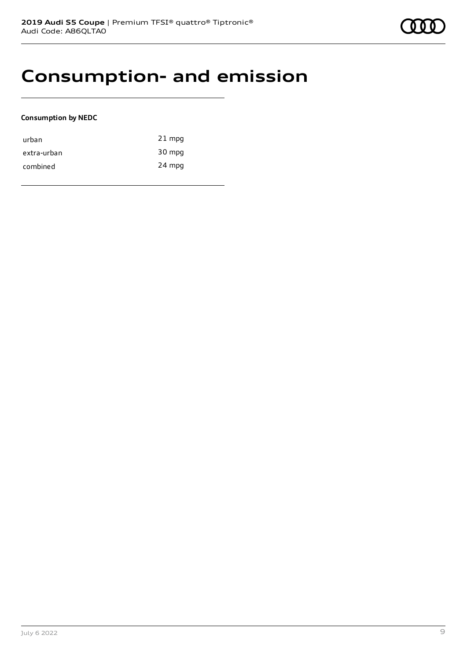### **Consumption- and emission**

### **Consumption by NEDC**

| urban       | $21$ mpg |
|-------------|----------|
| extra-urban | 30 mpg   |
| combined    | 24 mpg   |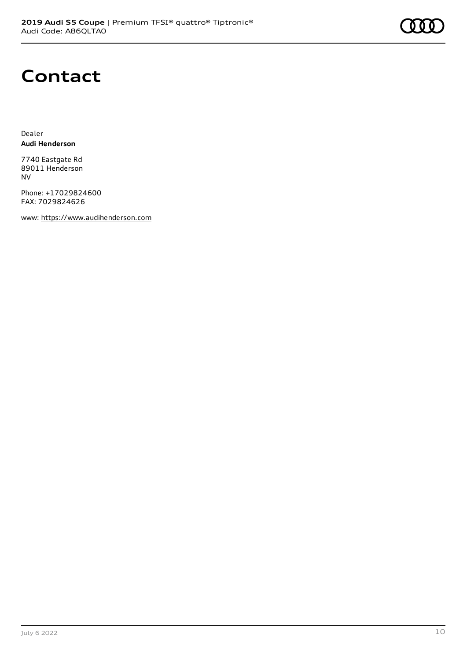

### **Contact**

Dealer **Audi Henderson**

7740 Eastgate Rd 89011 Henderson NV

Phone: +17029824600 FAX: 7029824626

www: [https://www.audihenderson.com](https://www.audihenderson.com/)